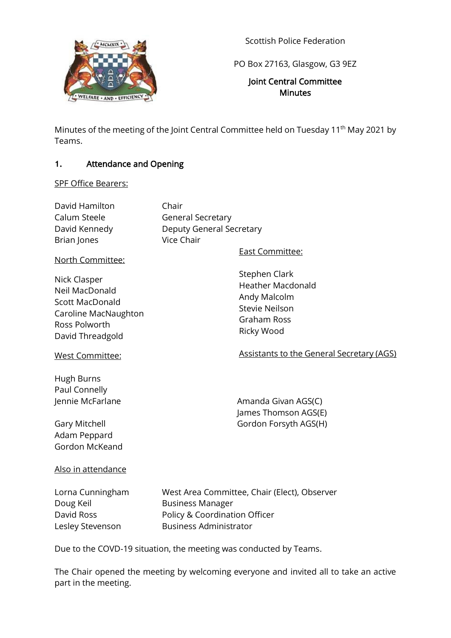

Scottish Police Federation

PO Box 27163, Glasgow, G3 9EZ

### Joint Central Committee **Minutes**

Minutes of the meeting of the Joint Central Committee held on Tuesday 11<sup>th</sup> May 2021 by Teams.

### **1.** Attendance and Opening

SPF Office Bearers:

| David Hamilton | Chair                    |
|----------------|--------------------------|
| Calum Steele   | <b>General Secretary</b> |
| David Kennedy  | Deputy General Secretary |
| Brian Jones    | Vice Chair               |
|                |                          |

North Committee:

Nick Clasper Neil MacDonald Scott MacDonald Caroline MacNaughton Ross Polworth David Threadgold

Stephen Clark Heather Macdonald Andy Malcolm

East Committee:

Stevie Neilson Graham Ross Ricky Wood

West Committee:

Hugh Burns Paul Connelly

Adam Peppard Gordon McKeand

Jennie McFarlane **Amanda Givan AGS(C)** James Thomson AGS(E) Gary Mitchell Gary Mitchell Gordon Forsyth AGS(H)

Assistants to the General Secretary (AGS)

Also in attendance

Doug Keil **Business Manager** 

Lorna Cunningham West Area Committee, Chair (Elect), Observer David Ross Policy & Coordination Officer Lesley Stevenson Business Administrator

Due to the COVD-19 situation, the meeting was conducted by Teams.

The Chair opened the meeting by welcoming everyone and invited all to take an active part in the meeting.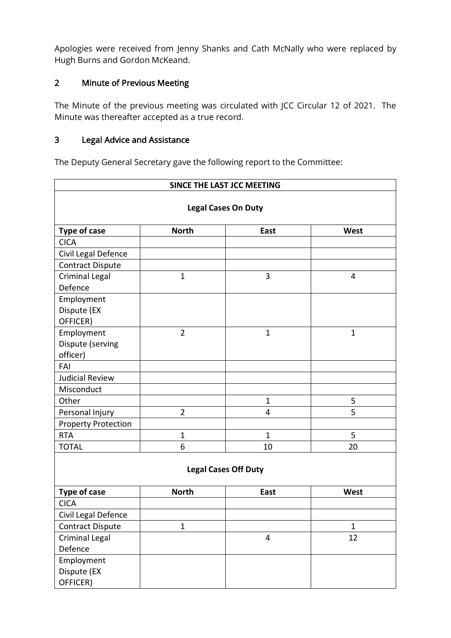Apologies were received from Jenny Shanks and Cath McNally who were replaced by Hugh Burns and Gordon McKeand.

# 2 Minute of Previous Meeting

The Minute of the previous meeting was circulated with JCC Circular 12 of 2021. The Minute was thereafter accepted as a true record.

## 3 Legal Advice and Assistance

The Deputy General Secretary gave the following report to the Committee:

| SINCE THE LAST JCC MEETING  |                |                         |              |  |
|-----------------------------|----------------|-------------------------|--------------|--|
| <b>Legal Cases On Duty</b>  |                |                         |              |  |
| Type of case                | <b>North</b>   | East                    | West         |  |
| <b>CICA</b>                 |                |                         |              |  |
| Civil Legal Defence         |                |                         |              |  |
| <b>Contract Dispute</b>     |                |                         |              |  |
| Criminal Legal              | $\mathbf{1}$   | 3                       | 4            |  |
| Defence                     |                |                         |              |  |
| Employment                  |                |                         |              |  |
| Dispute (EX                 |                |                         |              |  |
| OFFICER)                    |                |                         |              |  |
| Employment                  | $\overline{2}$ | $\mathbf{1}$            | $\mathbf{1}$ |  |
| Dispute (serving            |                |                         |              |  |
| officer)                    |                |                         |              |  |
| FAI                         |                |                         |              |  |
| <b>Judicial Review</b>      |                |                         |              |  |
| Misconduct                  |                |                         |              |  |
| Other                       |                | $\mathbf 1$             | 5            |  |
| Personal Injury             | $\overline{2}$ | 4                       | 5            |  |
| <b>Property Protection</b>  |                |                         |              |  |
| <b>RTA</b>                  | $\mathbf{1}$   | $\mathbf{1}$            | 5            |  |
| <b>TOTAL</b>                | 6              | 10                      | 20           |  |
| <b>Legal Cases Off Duty</b> |                |                         |              |  |
| <b>Type of case</b>         | <b>North</b>   | East                    | West         |  |
| <b>CICA</b>                 |                |                         |              |  |
| Civil Legal Defence         |                |                         |              |  |
| <b>Contract Dispute</b>     | $\mathbf{1}$   |                         | $\mathbf{1}$ |  |
| <b>Criminal Legal</b>       |                | $\overline{\mathbf{4}}$ | 12           |  |
| Defence                     |                |                         |              |  |
| Employment                  |                |                         |              |  |
| Dispute (EX                 |                |                         |              |  |
| OFFICER)                    |                |                         |              |  |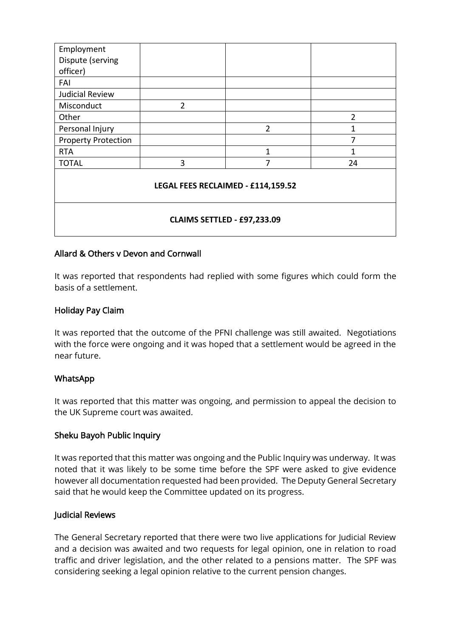| Employment                         |                |                |                |  |
|------------------------------------|----------------|----------------|----------------|--|
| Dispute (serving                   |                |                |                |  |
| officer)                           |                |                |                |  |
| FAI                                |                |                |                |  |
| <b>Judicial Review</b>             |                |                |                |  |
| Misconduct                         | $\overline{2}$ |                |                |  |
| Other                              |                |                | $\overline{2}$ |  |
| Personal Injury                    |                | $\overline{2}$ | 1              |  |
| <b>Property Protection</b>         |                |                | 7              |  |
| <b>RTA</b>                         |                | 1              |                |  |
| <b>TOTAL</b>                       | 3              | 7              | 24             |  |
| LEGAL FEES RECLAIMED - £114,159.52 |                |                |                |  |
| CLAIMS SETTLED - £97,233.09        |                |                |                |  |

#### Allard & Others v Devon and Cornwall

It was reported that respondents had replied with some figures which could form the basis of a settlement.

#### Holiday Pay Claim

It was reported that the outcome of the PFNI challenge was still awaited. Negotiations with the force were ongoing and it was hoped that a settlement would be agreed in the near future.

#### WhatsApp

It was reported that this matter was ongoing, and permission to appeal the decision to the UK Supreme court was awaited.

#### Sheku Bayoh Public Inquiry

It was reported that this matter was ongoing and the Public Inquiry was underway. It was noted that it was likely to be some time before the SPF were asked to give evidence however all documentation requested had been provided. The Deputy General Secretary said that he would keep the Committee updated on its progress.

#### Judicial Reviews

The General Secretary reported that there were two live applications for Judicial Review and a decision was awaited and two requests for legal opinion, one in relation to road traffic and driver legislation, and the other related to a pensions matter. The SPF was considering seeking a legal opinion relative to the current pension changes.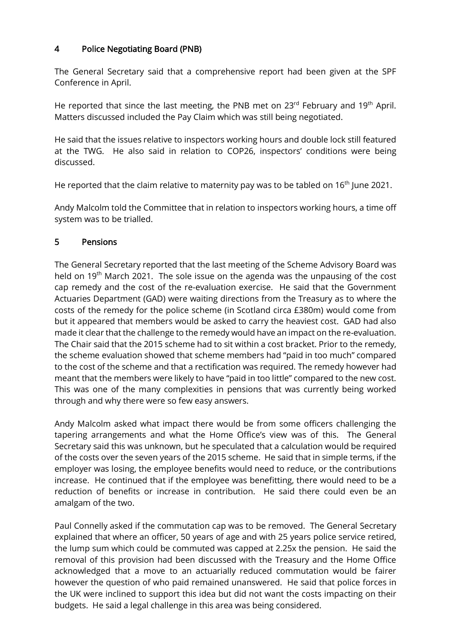### 4 Police Negotiating Board (PNB)

The General Secretary said that a comprehensive report had been given at the SPF Conference in April.

He reported that since the last meeting, the PNB met on  $23^{rd}$  February and 19<sup>th</sup> April. Matters discussed included the Pay Claim which was still being negotiated.

He said that the issues relative to inspectors working hours and double lock still featured at the TWG. He also said in relation to COP26, inspectors' conditions were being discussed.

He reported that the claim relative to maternity pay was to be tabled on  $16<sup>th</sup>$  June 2021.

Andy Malcolm told the Committee that in relation to inspectors working hours, a time off system was to be trialled.

## 5 Pensions

The General Secretary reported that the last meeting of the Scheme Advisory Board was held on 19<sup>th</sup> March 2021. The sole issue on the agenda was the unpausing of the cost cap remedy and the cost of the re-evaluation exercise. He said that the Government Actuaries Department (GAD) were waiting directions from the Treasury as to where the costs of the remedy for the police scheme (in Scotland circa £380m) would come from but it appeared that members would be asked to carry the heaviest cost. GAD had also made it clear that the challenge to the remedy would have an impact on the re-evaluation. The Chair said that the 2015 scheme had to sit within a cost bracket. Prior to the remedy, the scheme evaluation showed that scheme members had "paid in too much" compared to the cost of the scheme and that a rectification was required. The remedy however had meant that the members were likely to have "paid in too little" compared to the new cost. This was one of the many complexities in pensions that was currently being worked through and why there were so few easy answers.

Andy Malcolm asked what impact there would be from some officers challenging the tapering arrangements and what the Home Office's view was of this. The General Secretary said this was unknown, but he speculated that a calculation would be required of the costs over the seven years of the 2015 scheme. He said that in simple terms, if the employer was losing, the employee benefits would need to reduce, or the contributions increase. He continued that if the employee was benefitting, there would need to be a reduction of benefits or increase in contribution. He said there could even be an amalgam of the two.

Paul Connelly asked if the commutation cap was to be removed. The General Secretary explained that where an officer, 50 years of age and with 25 years police service retired, the lump sum which could be commuted was capped at 2.25x the pension. He said the removal of this provision had been discussed with the Treasury and the Home Office acknowledged that a move to an actuarially reduced commutation would be fairer however the question of who paid remained unanswered. He said that police forces in the UK were inclined to support this idea but did not want the costs impacting on their budgets. He said a legal challenge in this area was being considered.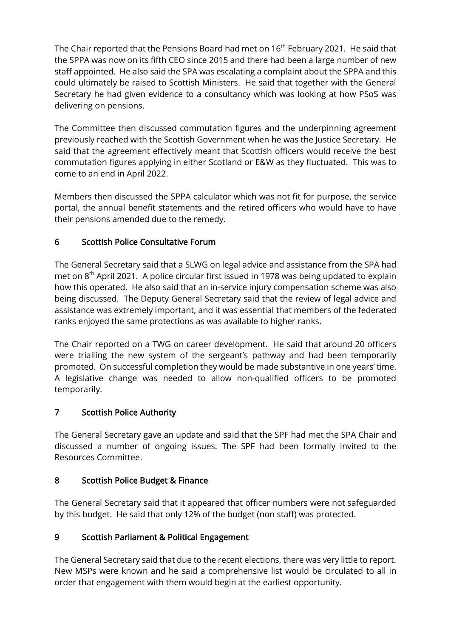The Chair reported that the Pensions Board had met on 16<sup>th</sup> February 2021. He said that the SPPA was now on its fifth CEO since 2015 and there had been a large number of new staff appointed. He also said the SPA was escalating a complaint about the SPPA and this could ultimately be raised to Scottish Ministers. He said that together with the General Secretary he had given evidence to a consultancy which was looking at how PSoS was delivering on pensions.

The Committee then discussed commutation figures and the underpinning agreement previously reached with the Scottish Government when he was the Justice Secretary. He said that the agreement effectively meant that Scottish officers would receive the best commutation figures applying in either Scotland or E&W as they fluctuated. This was to come to an end in April 2022.

Members then discussed the SPPA calculator which was not fit for purpose, the service portal, the annual benefit statements and the retired officers who would have to have their pensions amended due to the remedy.

# 6 Scottish Police Consultative Forum

The General Secretary said that a SLWG on legal advice and assistance from the SPA had met on 8<sup>th</sup> April 2021. A police circular first issued in 1978 was being updated to explain how this operated. He also said that an in-service injury compensation scheme was also being discussed. The Deputy General Secretary said that the review of legal advice and assistance was extremely important, and it was essential that members of the federated ranks enjoyed the same protections as was available to higher ranks.

The Chair reported on a TWG on career development. He said that around 20 officers were trialling the new system of the sergeant's pathway and had been temporarily promoted. On successful completion they would be made substantive in one years' time. A legislative change was needed to allow non-qualified officers to be promoted temporarily.

# 7 Scottish Police Authority

The General Secretary gave an update and said that the SPF had met the SPA Chair and discussed a number of ongoing issues. The SPF had been formally invited to the Resources Committee.

# 8 Scottish Police Budget & Finance

The General Secretary said that it appeared that officer numbers were not safeguarded by this budget. He said that only 12% of the budget (non staff) was protected.

# 9 Scottish Parliament & Political Engagement

The General Secretary said that due to the recent elections, there was very little to report. New MSPs were known and he said a comprehensive list would be circulated to all in order that engagement with them would begin at the earliest opportunity.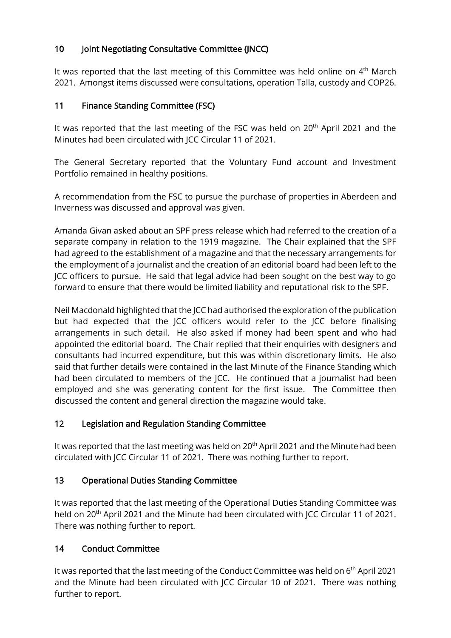# 10 Joint Negotiating Consultative Committee (JNCC)

It was reported that the last meeting of this Committee was held online on 4<sup>th</sup> March 2021. Amongst items discussed were consultations, operation Talla, custody and COP26.

## 11 Finance Standing Committee (FSC)

It was reported that the last meeting of the FSC was held on 20<sup>th</sup> April 2021 and the Minutes had been circulated with JCC Circular 11 of 2021.

The General Secretary reported that the Voluntary Fund account and Investment Portfolio remained in healthy positions.

A recommendation from the FSC to pursue the purchase of properties in Aberdeen and Inverness was discussed and approval was given.

Amanda Givan asked about an SPF press release which had referred to the creation of a separate company in relation to the 1919 magazine. The Chair explained that the SPF had agreed to the establishment of a magazine and that the necessary arrangements for the employment of a journalist and the creation of an editorial board had been left to the JCC officers to pursue. He said that legal advice had been sought on the best way to go forward to ensure that there would be limited liability and reputational risk to the SPF.

Neil Macdonald highlighted that the JCC had authorised the exploration of the publication but had expected that the JCC officers would refer to the JCC before finalising arrangements in such detail. He also asked if money had been spent and who had appointed the editorial board. The Chair replied that their enquiries with designers and consultants had incurred expenditure, but this was within discretionary limits. He also said that further details were contained in the last Minute of the Finance Standing which had been circulated to members of the JCC. He continued that a journalist had been employed and she was generating content for the first issue. The Committee then discussed the content and general direction the magazine would take.

# 12 Legislation and Regulation Standing Committee

It was reported that the last meeting was held on 20<sup>th</sup> April 2021 and the Minute had been circulated with JCC Circular 11 of 2021. There was nothing further to report.

### 13 Operational Duties Standing Committee

It was reported that the last meeting of the Operational Duties Standing Committee was held on 20<sup>th</sup> April 2021 and the Minute had been circulated with JCC Circular 11 of 2021. There was nothing further to report.

### 14 Conduct Committee

It was reported that the last meeting of the Conduct Committee was held on 6<sup>th</sup> April 2021 and the Minute had been circulated with JCC Circular 10 of 2021. There was nothing further to report.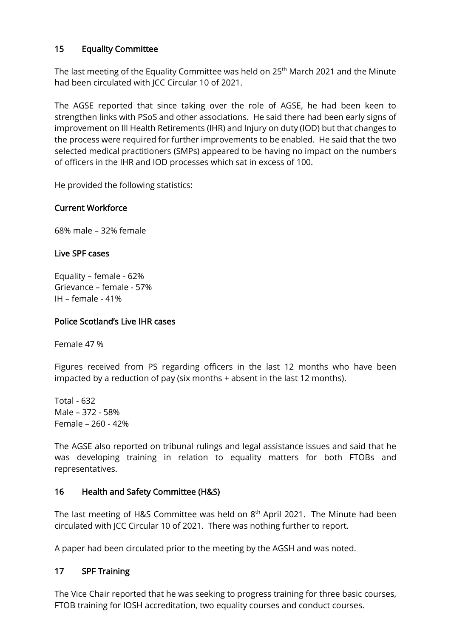### 15 Equality Committee

The last meeting of the Equality Committee was held on 25<sup>th</sup> March 2021 and the Minute had been circulated with JCC Circular 10 of 2021.

The AGSE reported that since taking over the role of AGSE, he had been keen to strengthen links with PSoS and other associations. He said there had been early signs of improvement on Ill Health Retirements (IHR) and Injury on duty (IOD) but that changes to the process were required for further improvements to be enabled. He said that the two selected medical practitioners (SMPs) appeared to be having no impact on the numbers of officers in the IHR and IOD processes which sat in excess of 100.

He provided the following statistics:

### Current Workforce

68% male – 32% female

#### Live SPF cases

Equality – female - 62% Grievance – female - 57%  $IH - female - 41%$ 

#### Police Scotland's Live IHR cases

Female 47 %

Figures received from PS regarding officers in the last 12 months who have been impacted by a reduction of pay (six months + absent in the last 12 months).

Total - 632 Male – 372 - 58% Female – 260 - 42%

The AGSE also reported on tribunal rulings and legal assistance issues and said that he was developing training in relation to equality matters for both FTOBs and representatives.

#### 16 Health and Safety Committee (H&S)

The last meeting of H&S Committee was held on 8<sup>th</sup> April 2021. The Minute had been circulated with JCC Circular 10 of 2021. There was nothing further to report.

A paper had been circulated prior to the meeting by the AGSH and was noted.

#### 17 SPF Training

The Vice Chair reported that he was seeking to progress training for three basic courses, FTOB training for IOSH accreditation, two equality courses and conduct courses.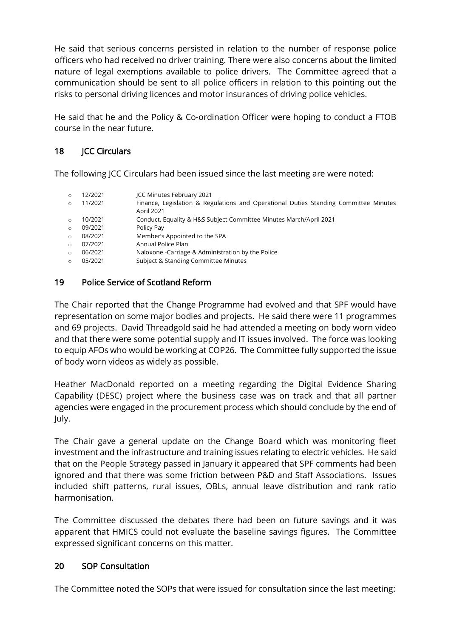He said that serious concerns persisted in relation to the number of response police officers who had received no driver training. There were also concerns about the limited nature of legal exemptions available to police drivers. The Committee agreed that a communication should be sent to all police officers in relation to this pointing out the risks to personal driving licences and motor insurances of driving police vehicles.

He said that he and the Policy & Co-ordination Officer were hoping to conduct a FTOB course in the near future.

# 18 **ICC Circulars**

The following JCC Circulars had been issued since the last meeting are were noted:

| $\circ$  | 12/2021 | ICC Minutes February 2021                                                                          |
|----------|---------|----------------------------------------------------------------------------------------------------|
| $\circ$  | 11/2021 | Finance, Legislation & Regulations and Operational Duties Standing Committee Minutes<br>April 2021 |
| $\Omega$ | 10/2021 | Conduct, Equality & H&S Subject Committee Minutes March/April 2021                                 |
| $\circ$  | 09/2021 | Policy Pay                                                                                         |
| $\circ$  | 08/2021 | Member's Appointed to the SPA                                                                      |
| $\Omega$ | 07/2021 | Annual Police Plan                                                                                 |
| $\Omega$ | 06/2021 | Naloxone - Carriage & Administration by the Police                                                 |
| $\Omega$ | 05/2021 | Subject & Standing Committee Minutes                                                               |

## 19 Police Service of Scotland Reform

The Chair reported that the Change Programme had evolved and that SPF would have representation on some major bodies and projects. He said there were 11 programmes and 69 projects. David Threadgold said he had attended a meeting on body worn video and that there were some potential supply and IT issues involved. The force was looking to equip AFOs who would be working at COP26. The Committee fully supported the issue of body worn videos as widely as possible.

Heather MacDonald reported on a meeting regarding the Digital Evidence Sharing Capability (DESC) project where the business case was on track and that all partner agencies were engaged in the procurement process which should conclude by the end of July.

The Chair gave a general update on the Change Board which was monitoring fleet investment and the infrastructure and training issues relating to electric vehicles. He said that on the People Strategy passed in January it appeared that SPF comments had been ignored and that there was some friction between P&D and Staff Associations. Issues included shift patterns, rural issues, OBLs, annual leave distribution and rank ratio harmonisation.

The Committee discussed the debates there had been on future savings and it was apparent that HMICS could not evaluate the baseline savings figures. The Committee expressed significant concerns on this matter.

### 20 SOP Consultation

The Committee noted the SOPs that were issued for consultation since the last meeting: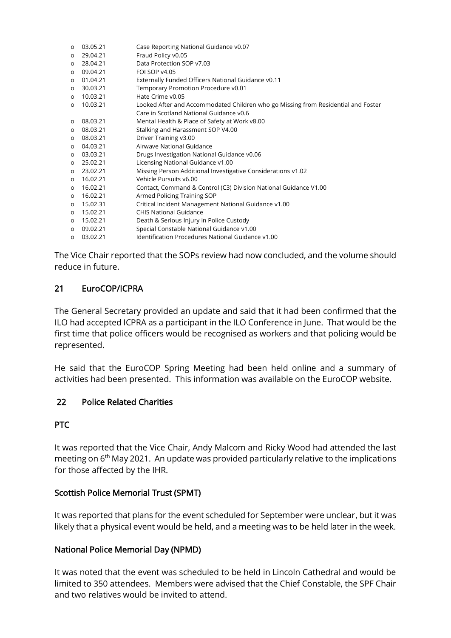| $\circ$ | 03.05.21 | Case Reporting National Guidance v0.07                                            |
|---------|----------|-----------------------------------------------------------------------------------|
| $\circ$ | 29.04.21 | Fraud Policy v0.05                                                                |
| O       | 28.04.21 | Data Protection SOP v7.03                                                         |
| O       | 09.04.21 | FOI SOP v4.05                                                                     |
| $\circ$ | 01.04.21 | Externally Funded Officers National Guidance v0.11                                |
| $\circ$ | 30.03.21 | Temporary Promotion Procedure v0.01                                               |
| $\circ$ | 10.03.21 | Hate Crime v0.05                                                                  |
| $\circ$ | 10.03.21 | Looked After and Accommodated Children who go Missing from Residential and Foster |
|         |          | Care in Scotland National Guidance v0.6                                           |
| $\circ$ | 08.03.21 | Mental Health & Place of Safety at Work v8.00                                     |
| O       | 08.03.21 | Stalking and Harassment SOP V4.00                                                 |
| $\circ$ | 08.03.21 | Driver Training v3.00                                                             |
| O       | 04.03.21 | Airwave National Guidance                                                         |
| O       | 03.03.21 | Drugs Investigation National Guidance v0.06                                       |
| $\circ$ | 25.02.21 | Licensing National Guidance v1.00                                                 |
| O       | 23.02.21 | Missing Person Additional Investigative Considerations v1.02                      |
| $\circ$ | 16.02.21 | Vehicle Pursuits v6.00                                                            |
| O       | 16.02.21 | Contact, Command & Control (C3) Division National Guidance V1.00                  |
| $\circ$ | 16.02.21 | Armed Policing Training SOP                                                       |
| O       | 15.02.31 | Critical Incident Management National Guidance v1.00                              |
| $\circ$ | 15.02.21 | <b>CHIS National Guidance</b>                                                     |
| $\circ$ | 15.02.21 | Death & Serious Injury in Police Custody                                          |
| $\circ$ | 09.02.21 | Special Constable National Guidance v1.00                                         |
| $\circ$ | 03.02.21 | Identification Procedures National Guidance v1.00                                 |

The Vice Chair reported that the SOPs review had now concluded, and the volume should reduce in future.

## 21 EuroCOP/ICPRA

The General Secretary provided an update and said that it had been confirmed that the ILO had accepted ICPRA as a participant in the ILO Conference in June. That would be the first time that police officers would be recognised as workers and that policing would be represented.

He said that the EuroCOP Spring Meeting had been held online and a summary of activities had been presented. This information was available on the EuroCOP website.

### 22 Police Related Charities

### PTC

It was reported that the Vice Chair, Andy Malcom and Ricky Wood had attended the last meeting on 6<sup>th</sup> May 2021. An update was provided particularly relative to the implications for those affected by the IHR.

### Scottish Police Memorial Trust (SPMT)

It was reported that plans for the event scheduled for September were unclear, but it was likely that a physical event would be held, and a meeting was to be held later in the week.

### National Police Memorial Day (NPMD)

It was noted that the event was scheduled to be held in Lincoln Cathedral and would be limited to 350 attendees. Members were advised that the Chief Constable, the SPF Chair and two relatives would be invited to attend.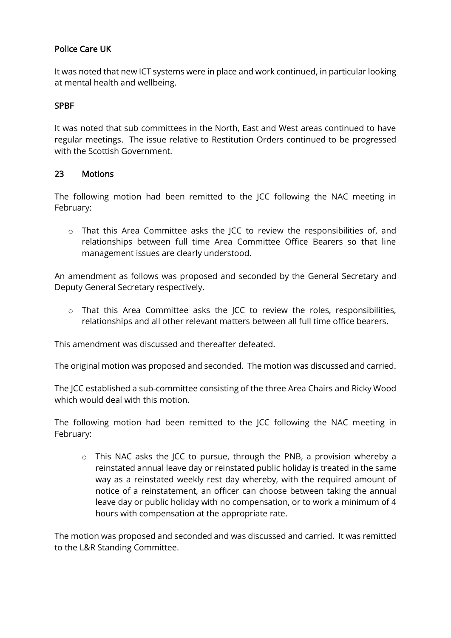## Police Care UK

It was noted that new ICT systems were in place and work continued, in particular looking at mental health and wellbeing.

#### SPBF

It was noted that sub committees in the North, East and West areas continued to have regular meetings. The issue relative to Restitution Orders continued to be progressed with the Scottish Government.

#### 23 Motions

The following motion had been remitted to the JCC following the NAC meeting in February:

o That this Area Committee asks the JCC to review the responsibilities of, and relationships between full time Area Committee Office Bearers so that line management issues are clearly understood.

An amendment as follows was proposed and seconded by the General Secretary and Deputy General Secretary respectively.

o That this Area Committee asks the JCC to review the roles, responsibilities, relationships and all other relevant matters between all full time office bearers.

This amendment was discussed and thereafter defeated.

The original motion was proposed and seconded. The motion was discussed and carried.

The JCC established a sub-committee consisting of the three Area Chairs and Ricky Wood which would deal with this motion.

The following motion had been remitted to the JCC following the NAC meeting in February:

o This NAC asks the JCC to pursue, through the PNB, a provision whereby a reinstated annual leave day or reinstated public holiday is treated in the same way as a reinstated weekly rest day whereby, with the required amount of notice of a reinstatement, an officer can choose between taking the annual leave day or public holiday with no compensation, or to work a minimum of 4 hours with compensation at the appropriate rate.

The motion was proposed and seconded and was discussed and carried. It was remitted to the L&R Standing Committee.